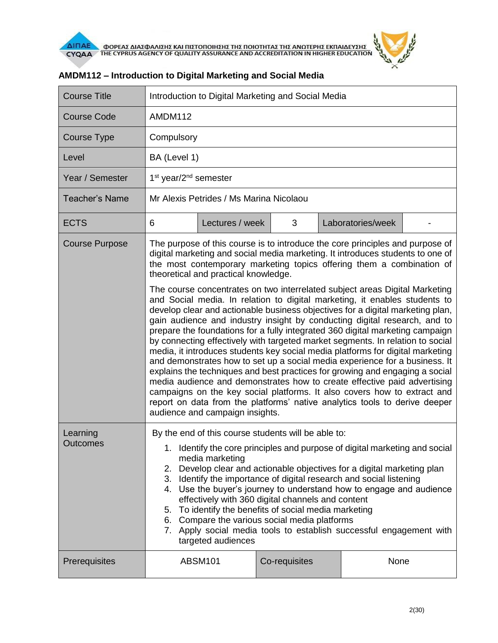

| <b>Course Title</b>   | Introduction to Digital Marketing and Social Media                                                                                                                                                                                                                                                                                                                                                                                                                                                                                                                                                                                                                                                                                                                                                                                                                                                                                                                                                                                                                                                                                                                                                                                                                     |                 |               |                   |  |  |
|-----------------------|------------------------------------------------------------------------------------------------------------------------------------------------------------------------------------------------------------------------------------------------------------------------------------------------------------------------------------------------------------------------------------------------------------------------------------------------------------------------------------------------------------------------------------------------------------------------------------------------------------------------------------------------------------------------------------------------------------------------------------------------------------------------------------------------------------------------------------------------------------------------------------------------------------------------------------------------------------------------------------------------------------------------------------------------------------------------------------------------------------------------------------------------------------------------------------------------------------------------------------------------------------------------|-----------------|---------------|-------------------|--|--|
| <b>Course Code</b>    | AMDM112                                                                                                                                                                                                                                                                                                                                                                                                                                                                                                                                                                                                                                                                                                                                                                                                                                                                                                                                                                                                                                                                                                                                                                                                                                                                |                 |               |                   |  |  |
| <b>Course Type</b>    | Compulsory                                                                                                                                                                                                                                                                                                                                                                                                                                                                                                                                                                                                                                                                                                                                                                                                                                                                                                                                                                                                                                                                                                                                                                                                                                                             |                 |               |                   |  |  |
| Level                 | BA (Level 1)                                                                                                                                                                                                                                                                                                                                                                                                                                                                                                                                                                                                                                                                                                                                                                                                                                                                                                                                                                                                                                                                                                                                                                                                                                                           |                 |               |                   |  |  |
| Year / Semester       | 1 <sup>st</sup> year/2 <sup>nd</sup> semester                                                                                                                                                                                                                                                                                                                                                                                                                                                                                                                                                                                                                                                                                                                                                                                                                                                                                                                                                                                                                                                                                                                                                                                                                          |                 |               |                   |  |  |
| <b>Teacher's Name</b> | Mr Alexis Petrides / Ms Marina Nicolaou                                                                                                                                                                                                                                                                                                                                                                                                                                                                                                                                                                                                                                                                                                                                                                                                                                                                                                                                                                                                                                                                                                                                                                                                                                |                 |               |                   |  |  |
| <b>ECTS</b>           | 6                                                                                                                                                                                                                                                                                                                                                                                                                                                                                                                                                                                                                                                                                                                                                                                                                                                                                                                                                                                                                                                                                                                                                                                                                                                                      | Lectures / week | 3             | Laboratories/week |  |  |
| <b>Course Purpose</b> | The purpose of this course is to introduce the core principles and purpose of<br>digital marketing and social media marketing. It introduces students to one of<br>the most contemporary marketing topics offering them a combination of<br>theoretical and practical knowledge.<br>The course concentrates on two interrelated subject areas Digital Marketing<br>and Social media. In relation to digital marketing, it enables students to<br>develop clear and actionable business objectives for a digital marketing plan,<br>gain audience and industry insight by conducting digital research, and to<br>prepare the foundations for a fully integrated 360 digital marketing campaign<br>by connecting effectively with targeted market segments. In relation to social<br>media, it introduces students key social media platforms for digital marketing<br>and demonstrates how to set up a social media experience for a business. It<br>explains the techniques and best practices for growing and engaging a social<br>media audience and demonstrates how to create effective paid advertising<br>campaigns on the key social platforms. It also covers how to extract and<br>report on data from the platforms' native analytics tools to derive deeper |                 |               |                   |  |  |
| Learning              | audience and campaign insights.<br>By the end of this course students will be able to:                                                                                                                                                                                                                                                                                                                                                                                                                                                                                                                                                                                                                                                                                                                                                                                                                                                                                                                                                                                                                                                                                                                                                                                 |                 |               |                   |  |  |
| Outcomes              | 1. Identify the core principles and purpose of digital marketing and social<br>media marketing<br>2. Develop clear and actionable objectives for a digital marketing plan<br>3. Identify the importance of digital research and social listening<br>4. Use the buyer's journey to understand how to engage and audience<br>effectively with 360 digital channels and content<br>5. To identify the benefits of social media marketing<br>6. Compare the various social media platforms<br>7. Apply social media tools to establish successful engagement with<br>targeted audiences                                                                                                                                                                                                                                                                                                                                                                                                                                                                                                                                                                                                                                                                                    |                 |               |                   |  |  |
| Prerequisites         |                                                                                                                                                                                                                                                                                                                                                                                                                                                                                                                                                                                                                                                                                                                                                                                                                                                                                                                                                                                                                                                                                                                                                                                                                                                                        | <b>ABSM101</b>  | Co-requisites | None              |  |  |

## **AMDM112 – Introduction to Digital Marketing and Social Media**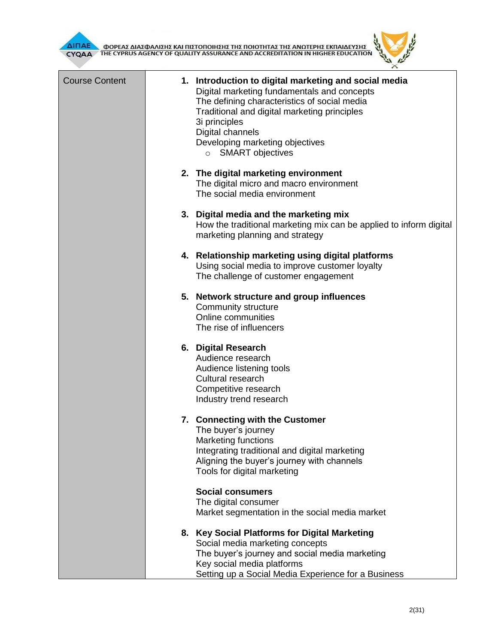

Ŧ



| <b>Course Content</b> | 1. Introduction to digital marketing and social media<br>Digital marketing fundamentals and concepts<br>The defining characteristics of social media<br>Traditional and digital marketing principles<br>3i principles<br>Digital channels<br>Developing marketing objectives<br>$\circ$ SMART objectives |  |
|-----------------------|----------------------------------------------------------------------------------------------------------------------------------------------------------------------------------------------------------------------------------------------------------------------------------------------------------|--|
|                       | 2. The digital marketing environment<br>The digital micro and macro environment<br>The social media environment                                                                                                                                                                                          |  |
|                       | 3. Digital media and the marketing mix<br>How the traditional marketing mix can be applied to inform digital<br>marketing planning and strategy                                                                                                                                                          |  |
|                       | 4. Relationship marketing using digital platforms<br>Using social media to improve customer loyalty<br>The challenge of customer engagement                                                                                                                                                              |  |
|                       | 5. Network structure and group influences<br>Community structure<br>Online communities<br>The rise of influencers                                                                                                                                                                                        |  |
|                       | 6. Digital Research<br>Audience research<br>Audience listening tools<br>Cultural research<br>Competitive research<br>Industry trend research                                                                                                                                                             |  |
|                       | 7. Connecting with the Customer<br>The buyer's journey<br>Marketing functions<br>Integrating traditional and digital marketing<br>Aligning the buyer's journey with channels<br>Tools for digital marketing                                                                                              |  |
|                       | <b>Social consumers</b><br>The digital consumer<br>Market segmentation in the social media market                                                                                                                                                                                                        |  |
|                       | 8. Key Social Platforms for Digital Marketing<br>Social media marketing concepts<br>The buyer's journey and social media marketing<br>Key social media platforms<br>Setting up a Social Media Experience for a Business                                                                                  |  |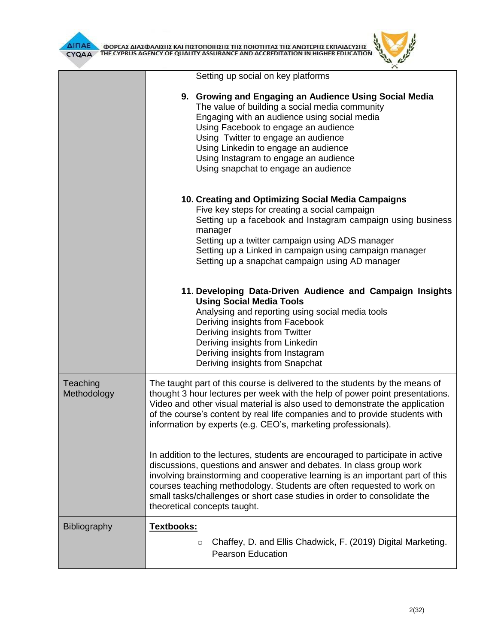

|                         | Setting up social on key platforms                                                                                                                                                                                                                                                                                                                                                                                        |  |  |  |
|-------------------------|---------------------------------------------------------------------------------------------------------------------------------------------------------------------------------------------------------------------------------------------------------------------------------------------------------------------------------------------------------------------------------------------------------------------------|--|--|--|
|                         | 9. Growing and Engaging an Audience Using Social Media<br>The value of building a social media community<br>Engaging with an audience using social media<br>Using Facebook to engage an audience<br>Using Twitter to engage an audience<br>Using Linkedin to engage an audience<br>Using Instagram to engage an audience<br>Using snapchat to engage an audience                                                          |  |  |  |
|                         | 10. Creating and Optimizing Social Media Campaigns<br>Five key steps for creating a social campaign<br>Setting up a facebook and Instagram campaign using business<br>manager<br>Setting up a twitter campaign using ADS manager<br>Setting up a Linked in campaign using campaign manager<br>Setting up a snapchat campaign using AD manager                                                                             |  |  |  |
|                         | 11. Developing Data-Driven Audience and Campaign Insights<br><b>Using Social Media Tools</b><br>Analysing and reporting using social media tools<br>Deriving insights from Facebook<br>Deriving insights from Twitter<br>Deriving insights from Linkedin<br>Deriving insights from Instagram<br>Deriving insights from Snapchat                                                                                           |  |  |  |
| Teaching<br>Methodology | The taught part of this course is delivered to the students by the means of<br>thought 3 hour lectures per week with the help of power point presentations.<br>Video and other visual material is also used to demonstrate the application<br>of the course's content by real life companies and to provide students with<br>information by experts (e.g. CEO's, marketing professionals).                                |  |  |  |
|                         | In addition to the lectures, students are encouraged to participate in active<br>discussions, questions and answer and debates. In class group work<br>involving brainstorming and cooperative learning is an important part of this<br>courses teaching methodology. Students are often requested to work on<br>small tasks/challenges or short case studies in order to consolidate the<br>theoretical concepts taught. |  |  |  |
| <b>Bibliography</b>     | Textbooks:<br>Chaffey, D. and Ellis Chadwick, F. (2019) Digital Marketing.<br>$\circ$<br><b>Pearson Education</b>                                                                                                                                                                                                                                                                                                         |  |  |  |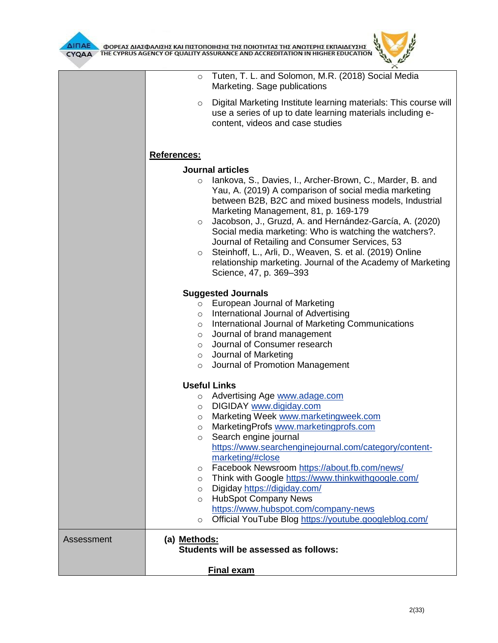

|            | <b>Final exam</b>                                                                                                                                                                                                                                                                                                                                                                                                                                                                                                                                                                                                                         |
|------------|-------------------------------------------------------------------------------------------------------------------------------------------------------------------------------------------------------------------------------------------------------------------------------------------------------------------------------------------------------------------------------------------------------------------------------------------------------------------------------------------------------------------------------------------------------------------------------------------------------------------------------------------|
| Assessment | (a) Methods:<br>Students will be assessed as follows:                                                                                                                                                                                                                                                                                                                                                                                                                                                                                                                                                                                     |
|            | <b>Useful Links</b><br>Advertising Age www.adage.com<br>$\circ$<br>DIGIDAY www.digiday.com<br>$\circ$<br>Marketing Week www.marketingweek.com<br>$\circ$<br>MarketingProfs www.marketingprofs.com<br>$\circ$<br>Search engine journal<br>https://www.searchenginejournal.com/category/content-<br>marketing/#close<br>Facebook Newsroom https://about.fb.com/news/<br>$\circ$<br>Think with Google https://www.thinkwithgoogle.com/<br>O<br>Digiday https://digiday.com/<br>$\circ$<br><b>HubSpot Company News</b><br>$\circ$<br>https://www.hubspot.com/company-news<br>Official YouTube Blog https://youtube.googleblog.com/<br>$\circ$ |
|            | <b>Suggested Journals</b><br>European Journal of Marketing<br>$\circ$<br>International Journal of Advertising<br>$\circ$<br>International Journal of Marketing Communications<br>$\circ$<br>Journal of brand management<br>$\circ$<br>Journal of Consumer research<br>$\circ$<br>o Journal of Marketing<br>Journal of Promotion Management<br>$\circ$                                                                                                                                                                                                                                                                                     |
|            | <b>References:</b><br><b>Journal articles</b><br>lankova, S., Davies, I., Archer-Brown, C., Marder, B. and<br>$\circ$<br>Yau, A. (2019) A comparison of social media marketing<br>between B2B, B2C and mixed business models, Industrial<br>Marketing Management, 81, p. 169-179<br>Jacobson, J., Gruzd, A. and Hernández-García, A. (2020)<br>$\circ$<br>Social media marketing: Who is watching the watchers?.<br>Journal of Retailing and Consumer Services, 53<br>Steinhoff, L., Arli, D., Weaven, S. et al. (2019) Online<br>O<br>relationship marketing. Journal of the Academy of Marketing<br>Science, 47, p. 369-393             |
|            | Digital Marketing Institute learning materials: This course will<br>$\circ$<br>use a series of up to date learning materials including e-<br>content, videos and case studies                                                                                                                                                                                                                                                                                                                                                                                                                                                             |
|            | Tuten, T. L. and Solomon, M.R. (2018) Social Media<br>$\circ$<br>Marketing. Sage publications                                                                                                                                                                                                                                                                                                                                                                                                                                                                                                                                             |

ó